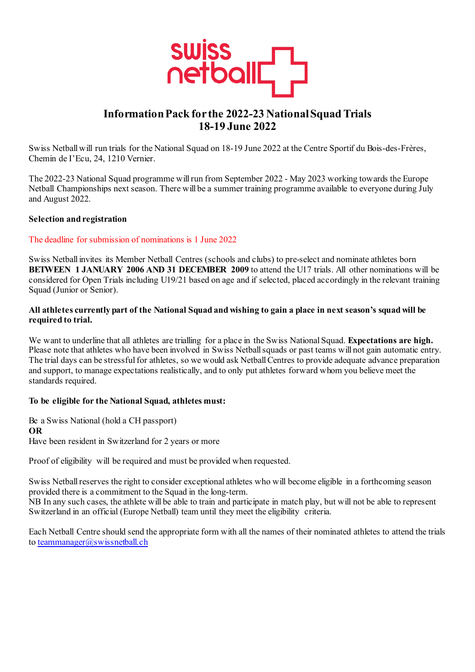

# **Information Pack for the 2022-23 National Squad Trials 18-19 June 2022**

Swiss Netball will run trials for the National Squad on 18-19 June 2022 at the Centre Sportif du Bois-des-Frères, Chemin de I'Ecu, 24, 1210 Vernier.

The 2022-23 National Squad programme will run from September 2022 - May 2023 working towards the Europe Netball Championships next season. There will be a summer training programme available to everyone during July and August 2022.

#### **Selection and registration**

### The deadline for submission of nominations is 1 June 2022

Swiss Netball invites its Member Netball Centres (schools and clubs) to pre-select and nominate athletes born **BETWEEN 1 JANUARY 2006 AND 31 DECEMBER 2009** to attend the U17 trials. All other nominations will be considered for Open Trials including U19/21 based on age and if selected, placed accordingly in the relevant training Squad (Junior or Senior).

### **All athletes currently part of the National Squad and wishing to gain a place in next season's squad will be required to trial.**

We want to underline that all athletes are trialling for a place in the Swiss National Squad. **Expectations are high.** Please note that athletes who have been involved in Swiss Netball squads or past teams will not gain automatic entry. The trial days can be stressful for athletes, so we would ask Netball Centres to provide adequate advance preparation and support, to manage expectations realistically, and to only put athletes forward whom you believe meet the standards required.

#### **To be eligible for the National Squad, athletes must:**

Be a Swiss National (hold a CH passport) **OR** Have been resident in Switzerland for 2 years or more

Proof of eligibility will be required and must be provided when requested.

Swiss Netball reserves the right to consider exceptional athletes who will become eligible in a forthcoming season provided there is a commitment to the Squad in the long-term.

NB In any such cases, the athlete will be able to train and participate in match play, but will not be able to represent Switzerland in an official (Europe Netball) team until they meet the eligibility criteria.

Each Netball Centre should send the appropriate form with all the names of their nominated athletes to attend the trials to [teammanager@swissnetball.ch](mailto:teammanager@swissnetball.ch)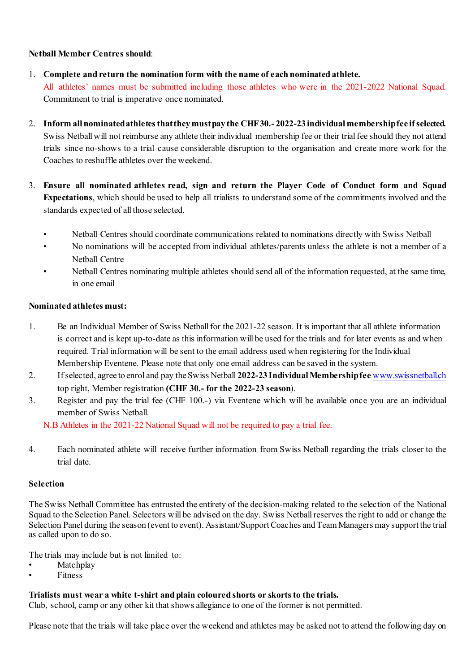## **Netball Member Centres should**:

- 1. **Complete and return the nomination form with the name of each nominated athlete.** All athletes' names must be submitted including those athletes who were in the 2021-2022 National Squad. Commitment to trial is imperative once nominated.
- 2. **Inform all nominated athletes that they must pay the CHF 30.- 2022-23 individual membership fee if selected.**  Swiss Netball will not reimburse any athlete their individual membership fee or their trial fee should they not attend trials since no-shows to a trial cause considerable disruption to the organisation and create more work for the Coaches to reshuffle athletes over the weekend.
- 3. **Ensure all nominated athletes read, sign and return the Player Code of Conduct form and Squad Expectations**, which should be used to help all trialists to understand some of the commitments involved and the standards expected of all those selected.
	- Netball Centres should coordinate communications related to nominations directly with Swiss Netball
	- No nominations will be accepted from individual athletes/parents unless the athlete is not a member of a Netball Centre
	- Netball Centres nominating multiple athletes should send all of the information requested, at the same time, in one email

# **Nominated athletes must:**

- 1. Be an Individual Member of Swiss Netball for the 2021-22 season. It is important that all athlete information is correct and is kept up-to-date as this information will be used for the trials and for later events as and when required. Trial information will be sent to the email address used when registering for the Individual Membership Eventene. Please note that only one email address can be saved in the system.
- 2. If selected, agree to enrol and pay the Swiss Netball **2022-23 Individual Membership fee** [www.swissnetball.ch](http://www.swissnetball.ch/) top right, Member registration **(CHF 30.- for the 2022-23 season**).
- 3. Register and pay the trial fee (CHF 100.-) via Eventene which will be available once you are an individual member of Swiss Netball.

N.B Athletes in the 2021-22 National Squad will not be required to pay a trial fee.

4. Each nominated athlete will receive further information from Swiss Netball regarding the trials closer to the trial date.

### **Selection**

The Swiss Netball Committee has entrusted the entirety of the decision-making related to the selection of the National Squad to the Selection Panel. Selectors will be advised on the day. Swiss Netball reserves the right to add or change the Selection Panel during the season (event to event). Assistant/Support Coaches and Team Managers may support the trial as called upon to do so.

The trials may include but is not limited to:

- **Matchplay**
- **Fitness**

# **Trialists must wear a white t-shirt and plain coloured shorts or skorts to the trials.**

Club, school, camp or any other kit that shows allegiance to one of the former is not permitted.

Please note that the trials will take place over the weekend and athletes may be asked not to attend the following day on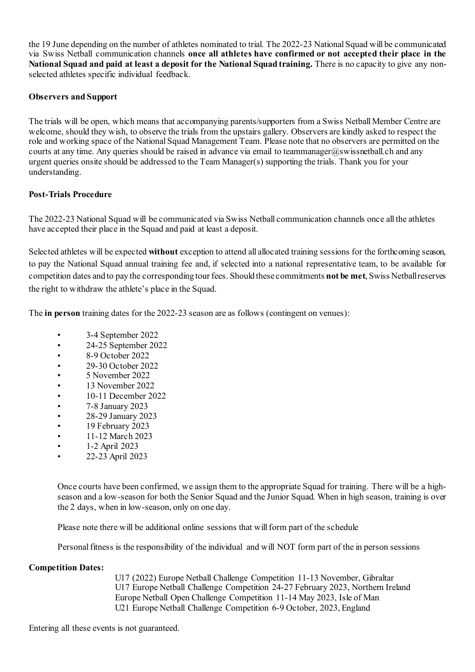the 19 June depending on the number of athletes nominated to trial. The 2022-23 National Squad will be communicated via Swiss Netball communication channels **once all athletes have confirmed or not accepted their place in the National Squad and paid at least a deposit for the National Squad training.** There is no capacity to give any nonselected athletes specific individual feedback.

### **Observers and Support**

The trials will be open, which means that accompanying parents/supporters from a Swiss Netball Member Centre are welcome, should they wish, to observe the trials from the upstairs gallery. Observers are kindly asked to respect the role and working space of the National Squad Management Team. Please note that no observers are permitted on the courts at any time. Any queries should be raised in advance via email to teammanager@swissnetball.ch and any urgent queries onsite should be addressed to the Team Manager(s) supporting the trials. Thank you for your understanding.

# **Post-Trials Procedure**

The 2022-23 National Squad will be communicated via Swiss Netball communication channels once all the athletes have accepted their place in the Squad and paid at least a deposit.

Selected athletes will be expected **without** exception to attend all allocated training sessions for the forthcoming season, to pay the National Squad annual training fee and, if selected into a national representative team, to be available for competition dates and to pay the corresponding tour fees. Should these commitments **not be met**, Swiss Netball reserves the right to withdraw the athlete's place in the Squad.

The **in person** training dates for the 2022-23 season are as follows (contingent on venues):

- 3-4 September 2022
- 24-25 September 2022
- 8-9 October 2022
- 
- 29-30 October 2022<br>• 5 November 2022 • 5 November 2022
- 13 November 2022
- 10-11 December 2022
- 7-8 January 2023
- 28-29 January 2023
- 19 February 2023
- 11-12 March 2023
- 1-2 April 2023
- 22-23 April 2023

Once courts have been confirmed, we assign them to the appropriate Squad for training. There will be a highseason and a low-season for both the Senior Squad and the Junior Squad. When in high season, training is over the 2 days, when in low-season, only on one day.

Please note there will be additional online sessions that will form part of the schedule

Personal fitness is the responsibility of the individual and will NOT form part of the in person sessions

### **Competition Dates:**

U17 (2022) Europe Netball Challenge Competition 11-13 November, Gibraltar U17 Europe Netball Challenge Competition 24-27 February 2023, Northern Ireland Europe Netball Open Challenge Competition 11-14 May 2023, Isle of Man U21 Europe Netball Challenge Competition 6-9 October, 2023, England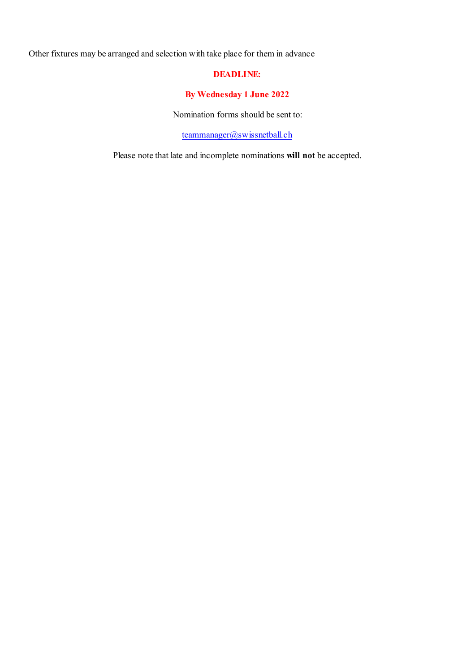Other fixtures may be arranged and selection with take place for them in advance

# **DEADLINE:**

# **By Wednesday 1 June 2022**

Nomination forms should be sent to:

[teammanager@swissnetball.ch](mailto:teammanager@swissnetball.ch)

Please note that late and incomplete nominations **will not** be accepted.